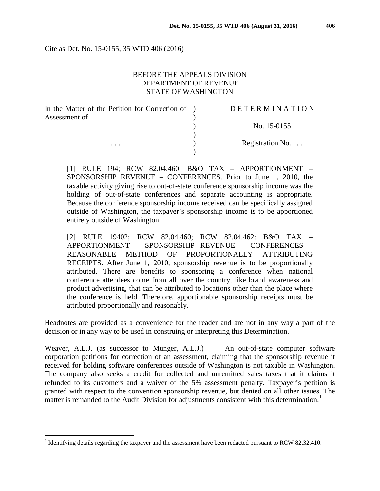Cite as Det. No. 15-0155, 35 WTD 406 (2016)

### BEFORE THE APPEALS DIVISION DEPARTMENT OF REVENUE STATE OF WASHINGTON

| In the Matter of the Petition for Correction of ) | DETERMINATION   |
|---------------------------------------------------|-----------------|
| Assessment of                                     |                 |
|                                                   | No. 15-0155     |
|                                                   |                 |
| $\cdots$                                          | Registration No |
|                                                   |                 |

[1] RULE 194; RCW 82.04.460: B&O TAX – APPORTIONMENT – SPONSORSHIP REVENUE – CONFERENCES. Prior to June 1, 2010, the taxable activity giving rise to out-of-state conference sponsorship income was the holding of out-of-state conferences and separate accounting is appropriate. Because the conference sponsorship income received can be specifically assigned outside of Washington, the taxpayer's sponsorship income is to be apportioned entirely outside of Washington.

[2] RULE 19402; RCW 82.04.460; RCW 82.04.462: B&O TAX – APPORTIONMENT – SPONSORSHIP REVENUE – CONFERENCES – REASONABLE METHOD OF PROPORTIONALLY ATTRIBUTING RECEIPTS. After June 1, 2010, sponsorship revenue is to be proportionally attributed. There are benefits to sponsoring a conference when national conference attendees come from all over the country, like brand awareness and product advertising, that can be attributed to locations other than the place where the conference is held. Therefore, apportionable sponsorship receipts must be attributed proportionally and reasonably.

Headnotes are provided as a convenience for the reader and are not in any way a part of the decision or in any way to be used in construing or interpreting this Determination.

Weaver, A.L.J. (as successor to Munger, A.L.J.) – An out-of-state computer software corporation petitions for correction of an assessment, claiming that the sponsorship revenue it received for holding software conferences outside of Washington is not taxable in Washington. The company also seeks a credit for collected and unremitted sales taxes that it claims it refunded to its customers and a waiver of the 5% assessment penalty. Taxpayer's petition is granted with respect to the convention sponsorship revenue, but denied on all other issues. The matter is remanded to the Audit Division for adjustments consistent with this determination.<sup>[1](#page-0-0)</sup>

<span id="page-0-0"></span><sup>&</sup>lt;sup>1</sup> Identifying details regarding the taxpayer and the assessment have been redacted pursuant to RCW 82.32.410.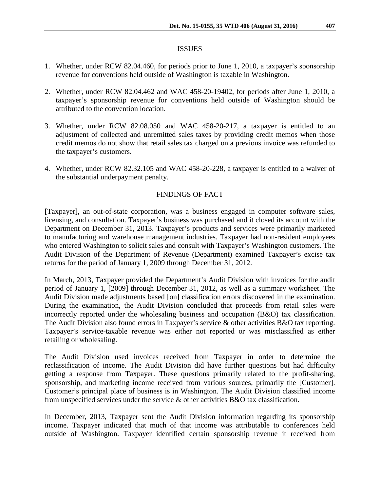### ISSUES

- 1. Whether, under RCW 82.04.460, for periods prior to June 1, 2010, a taxpayer's sponsorship revenue for conventions held outside of Washington is taxable in Washington.
- 2. Whether, under RCW 82.04.462 and WAC 458-20-19402, for periods after June 1, 2010, a taxpayer's sponsorship revenue for conventions held outside of Washington should be attributed to the convention location.
- 3. Whether, under RCW 82.08.050 and WAC 458-20-217, a taxpayer is entitled to an adjustment of collected and unremitted sales taxes by providing credit memos when those credit memos do not show that retail sales tax charged on a previous invoice was refunded to the taxpayer's customers.
- 4. Whether, under RCW 82.32.105 and WAC 458-20-228, a taxpayer is entitled to a waiver of the substantial underpayment penalty.

# FINDINGS OF FACT

[Taxpayer], an out-of-state corporation, was a business engaged in computer software sales, licensing, and consultation. Taxpayer's business was purchased and it closed its account with the Department on December 31, 2013. Taxpayer's products and services were primarily marketed to manufacturing and warehouse management industries. Taxpayer had non-resident employees who entered Washington to solicit sales and consult with Taxpayer's Washington customers. The Audit Division of the Department of Revenue (Department) examined Taxpayer's excise tax returns for the period of January 1, 2009 through December 31, 2012.

In March, 2013, Taxpayer provided the Department's Audit Division with invoices for the audit period of January 1, [2009] through December 31, 2012, as well as a summary worksheet. The Audit Division made adjustments based [on] classification errors discovered in the examination. During the examination, the Audit Division concluded that proceeds from retail sales were incorrectly reported under the wholesaling business and occupation (B&O) tax classification. The Audit Division also found errors in Taxpayer's service & other activities B&O tax reporting. Taxpayer's service-taxable revenue was either not reported or was misclassified as either retailing or wholesaling.

The Audit Division used invoices received from Taxpayer in order to determine the reclassification of income. The Audit Division did have further questions but had difficulty getting a response from Taxpayer. These questions primarily related to the profit-sharing, sponsorship, and marketing income received from various sources, primarily the [Customer]. Customer's principal place of business is in Washington. The Audit Division classified income from unspecified services under the service & other activities B&O tax classification.

In December, 2013, Taxpayer sent the Audit Division information regarding its sponsorship income. Taxpayer indicated that much of that income was attributable to conferences held outside of Washington. Taxpayer identified certain sponsorship revenue it received from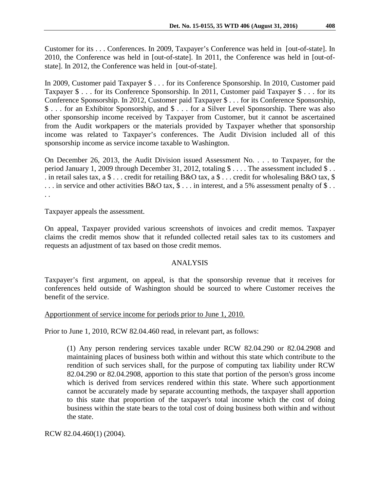Customer for its . . . Conferences. In 2009, Taxpayer's Conference was held in [out-of-state]. In 2010, the Conference was held in [out-of-state]. In 2011, the Conference was held in [out-ofstate]. In 2012, the Conference was held in [out-of-state].

In 2009, Customer paid Taxpayer \$ . . . for its Conference Sponsorship. In 2010, Customer paid Taxpayer \$ . . . for its Conference Sponsorship. In 2011, Customer paid Taxpayer \$ . . . for its Conference Sponsorship. In 2012, Customer paid Taxpayer \$ . . . for its Conference Sponsorship, \$ . . . for an Exhibitor Sponsorship, and \$ . . . for a Silver Level Sponsorship. There was also other sponsorship income received by Taxpayer from Customer, but it cannot be ascertained from the Audit workpapers or the materials provided by Taxpayer whether that sponsorship income was related to Taxpayer's conferences. The Audit Division included all of this sponsorship income as service income taxable to Washington.

On December 26, 2013, the Audit Division issued Assessment No. . . . to Taxpayer, for the period January 1, 2009 through December 31, 2012, totaling \$ . . . . The assessment included \$ . . . in retail sales tax, a \$ . . . credit for retailing B&O tax, a \$ . . . credit for wholesaling B&O tax, \$  $\ldots$  in service and other activities B&O tax, \$  $\ldots$  in interest, and a 5% assessment penalty of \$... . .

Taxpayer appeals the assessment.

On appeal, Taxpayer provided various screenshots of invoices and credit memos. Taxpayer claims the credit memos show that it refunded collected retail sales tax to its customers and requests an adjustment of tax based on those credit memos.

# ANALYSIS

Taxpayer's first argument, on appeal, is that the sponsorship revenue that it receives for conferences held outside of Washington should be sourced to where Customer receives the benefit of the service.

### Apportionment of service income for periods prior to June 1, 2010.

Prior to June 1, 2010, RCW 82.04.460 read, in relevant part, as follows:

(1) Any person rendering services taxable under RCW 82.04.290 or 82.04.2908 and maintaining places of business both within and without this state which contribute to the rendition of such services shall, for the purpose of computing tax liability under RCW 82.04.290 or 82.04.2908, apportion to this state that portion of the person's gross income which is derived from services rendered within this state. Where such apportionment cannot be accurately made by separate accounting methods, the taxpayer shall apportion to this state that proportion of the taxpayer's total income which the cost of doing business within the state bears to the total cost of doing business both within and without the state.

RCW 82.04.460(1) (2004).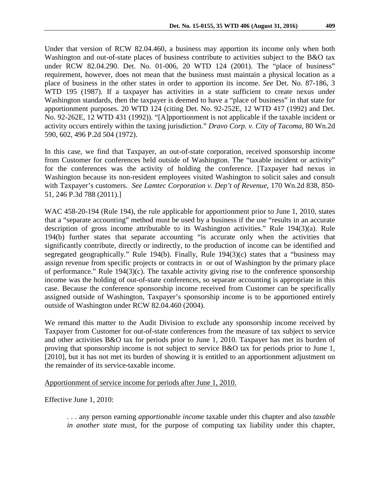Under that version of RCW 82.04.460, a business may apportion its income only when both Washington and out-of-state places of business contribute to activities subject to the B&O tax under RCW 82.04.290. Det. No. 01-006, 20 WTD 124 (2001). The "place of business" requirement, however, does not mean that the business must maintain a physical location as a place of business in the other states in order to apportion its income. *See* Det. No. 87-186, 3 WTD 195 (1987). If a taxpayer has activities in a state sufficient to create nexus under Washington standards, then the taxpayer is deemed to have a "place of business" in that state for apportionment purposes. 20 WTD 124 (citing Det. No. 92-252E, 12 WTD 417 (1992) and Det. No. 92-262E, 12 WTD 431 (1992)). "[A]pportionment is not applicable if the taxable incident or activity occurs entirely within the taxing jurisdiction." *Dravo Corp. v. City of Tacoma*, 80 Wn.2d 590, 602, 496 P.2d 504 (1972).

In this case, we find that Taxpayer, an out-of-state corporation, received sponsorship income from Customer for conferences held outside of Washington. The "taxable incident or activity" for the conferences was the activity of holding the conference. [Taxpayer had nexus in Washington because its non-resident employees visited Washington to solicit sales and consult with Taxpayer's customers. *See Lamtec Corporation v. Dep't of Revenue*, 170 Wn.2d 838, 850- 51, 246 P.3d 788 (2011).]

WAC 458-20-194 (Rule 194), the rule applicable for apportionment prior to June 1, 2010, states that a "separate accounting" method must be used by a business if the use "results in an accurate description of gross income attributable to its Washington activities." Rule 194(3)(a). Rule 194(b) further states that separate accounting "is accurate only when the activities that significantly contribute, directly or indirectly, to the production of income can be identified and segregated geographically." Rule 194(b). Finally, Rule 194(3)(c) states that a "business may assign revenue from specific projects or contracts in or out of Washington by the primary place of performance." Rule 194(3)(c). The taxable activity giving rise to the conference sponsorship income was the holding of out-of-state conferences, so separate accounting is appropriate in this case. Because the conference sponsorship income received from Customer can be specifically assigned outside of Washington, Taxpayer's sponsorship income is to be apportioned entirely outside of Washington under RCW 82.04.460 (2004).

We remand this matter to the Audit Division to exclude any sponsorship income received by Taxpayer from Customer for out-of-state conferences from the measure of tax subject to service and other activities B&O tax for periods prior to June 1, 2010. Taxpayer has met its burden of proving that sponsorship income is not subject to service B&O tax for periods prior to June 1, [2010], but it has not met its burden of showing it is entitled to an apportionment adjustment on the remainder of its service-taxable income.

Apportionment of service income for periods after June 1, 2010.

Effective June 1, 2010:

. . . any person earning *apportionable income* taxable under this chapter and also *taxable in another state* must, for the purpose of computing tax liability under this chapter,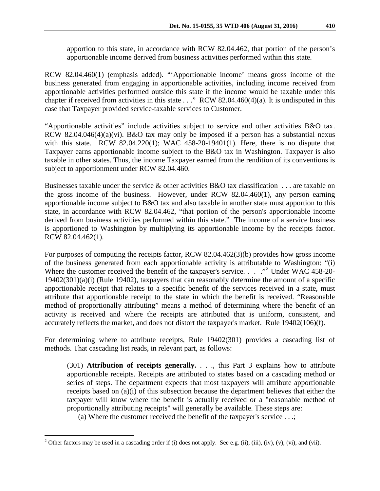apportion to this state, in accordance with RCW 82.04.462, that portion of the person's apportionable income derived from business activities performed within this state.

RCW 82.04.460(1) (emphasis added). "'Apportionable income' means gross income of the business generated from engaging in apportionable activities, including income received from apportionable activities performed outside this state if the income would be taxable under this chapter if received from activities in this state . . ." RCW 82.04.460(4)(a). It is undisputed in this case that Taxpayer provided service-taxable services to Customer.

"Apportionable activities" include activities subject to service and other activities B&O tax. RCW 82.04.046(4)(a)(vi). B&O tax may only be imposed if a person has a substantial nexus with this state. RCW 82.04.220(1); WAC 458-20-19401(1). Here, there is no dispute that Taxpayer earns apportionable income subject to the B&O tax in Washington. Taxpayer is also taxable in other states. Thus, the income Taxpayer earned from the rendition of its conventions is subject to apportionment under RCW 82.04.460.

Businesses taxable under the service  $\&$  other activities B&O tax classification ... are taxable on the gross income of the business. However, under RCW 82.04.460(1), any person earning apportionable income subject to B&O tax and also taxable in another state must apportion to this state, in accordance with RCW 82.04.462, "that portion of the person's apportionable income derived from business activities performed within this state." The income of a service business is apportioned to Washington by multiplying its apportionable income by the receipts factor. RCW 82.04.462(1).

For purposes of computing the receipts factor, RCW 82.04.462(3)(b) provides how gross income of the business generated from each apportionable activity is attributable to Washington: "(i) Where the customer received the benefit of the taxpayer's service. . . . "<sup>[2](#page-4-0)</sup> Under WAC 458-20-19402(301)(a)(i) (Rule 19402), taxpayers that can reasonably determine the amount of a specific apportionable receipt that relates to a specific benefit of the services received in a state, must attribute that apportionable receipt to the state in which the benefit is received. "Reasonable method of proportionally attributing" means a method of determining where the benefit of an activity is received and where the receipts are attributed that is uniform, consistent, and accurately reflects the market, and does not distort the taxpayer's market. Rule 19402(106)(f).

For determining where to attribute receipts, Rule 19402(301) provides a cascading list of methods. That cascading list reads, in relevant part, as follows:

(301) **Attribution of receipts generally.** . . ., this Part 3 explains how to attribute apportionable receipts. Receipts are attributed to states based on a cascading method or series of steps. The department expects that most taxpayers will attribute apportionable receipts based on (a)(i) of this subsection because the department believes that either the taxpayer will know where the benefit is actually received or a "reasonable method of proportionally attributing receipts" will generally be available. These steps are:

(a) Where the customer received the benefit of the taxpayer's service . . .;

<span id="page-4-0"></span><sup>&</sup>lt;sup>2</sup> Other factors may be used in a cascading order if (i) does not apply. See e.g. (ii), (iii), (iv), (v), (vi), and (vii).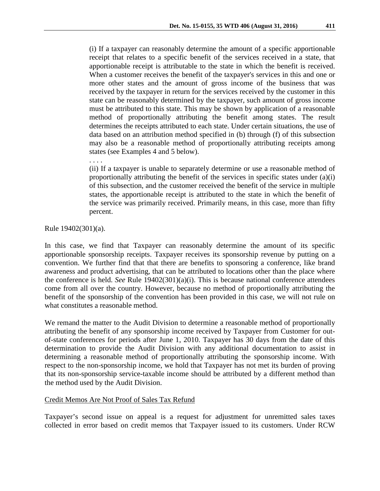(i) If a taxpayer can reasonably determine the amount of a specific apportionable receipt that relates to a specific benefit of the services received in a state, that apportionable receipt is attributable to the state in which the benefit is received. When a customer receives the benefit of the taxpayer's services in this and one or more other states and the amount of gross income of the business that was received by the taxpayer in return for the services received by the customer in this state can be reasonably determined by the taxpayer, such amount of gross income must be attributed to this state. This may be shown by application of a reasonable method of proportionally attributing the benefit among states. The result determines the receipts attributed to each state. Under certain situations, the use of data based on an attribution method specified in (b) through (f) of this subsection may also be a reasonable method of proportionally attributing receipts among states (see Examples 4 and 5 below).

(ii) If a taxpayer is unable to separately determine or use a reasonable method of proportionally attributing the benefit of the services in specific states under (a)(i) of this subsection, and the customer received the benefit of the service in multiple states, the apportionable receipt is attributed to the state in which the benefit of the service was primarily received. Primarily means, in this case, more than fifty percent.

Rule 19402(301)(a).

. . . .

In this case, we find that Taxpayer can reasonably determine the amount of its specific apportionable sponsorship receipts. Taxpayer receives its sponsorship revenue by putting on a convention. We further find that that there are benefits to sponsoring a conference, like brand awareness and product advertising, that can be attributed to locations other than the place where the conference is held. *See* Rule 19402(301)(a)(i). This is because national conference attendees come from all over the country. However, because no method of proportionally attributing the benefit of the sponsorship of the convention has been provided in this case, we will not rule on what constitutes a reasonable method.

We remand the matter to the Audit Division to determine a reasonable method of proportionally attributing the benefit of any sponsorship income received by Taxpayer from Customer for outof-state conferences for periods after June 1, 2010. Taxpayer has 30 days from the date of this determination to provide the Audit Division with any additional documentation to assist in determining a reasonable method of proportionally attributing the sponsorship income. With respect to the non-sponsorship income, we hold that Taxpayer has not met its burden of proving that its non-sponsorship service-taxable income should be attributed by a different method than the method used by the Audit Division.

### Credit Memos Are Not Proof of Sales Tax Refund

Taxpayer's second issue on appeal is a request for adjustment for unremitted sales taxes collected in error based on credit memos that Taxpayer issued to its customers. Under RCW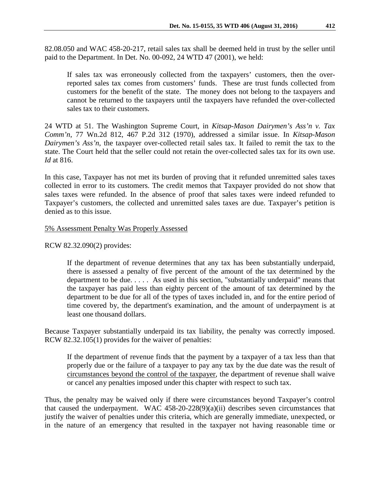82.08.050 and WAC 458-20-217, retail sales tax shall be deemed held in trust by the seller until paid to the Department. In Det. No. 00-092, 24 WTD 47 (2001), we held:

If sales tax was erroneously collected from the taxpayers' customers, then the overreported sales tax comes from customers' funds. These are trust funds collected from customers for the benefit of the state. The money does not belong to the taxpayers and cannot be returned to the taxpayers until the taxpayers have refunded the over-collected sales tax to their customers.

24 WTD at 51. The Washington Supreme Court, in *Kitsap-Mason Dairymen's Ass'n v. Tax Comm'n*, 77 Wn.2d 812, 467 P.2d 312 (1970), addressed a similar issue. In *Kitsap-Mason Dairymen's Ass'n*, the taxpayer over-collected retail sales tax. It failed to remit the tax to the state. The Court held that the seller could not retain the over-collected sales tax for its own use. *Id* at 816.

In this case, Taxpayer has not met its burden of proving that it refunded unremitted sales taxes collected in error to its customers. The credit memos that Taxpayer provided do not show that sales taxes were refunded. In the absence of proof that sales taxes were indeed refunded to Taxpayer's customers, the collected and unremitted sales taxes are due. Taxpayer's petition is denied as to this issue.

#### 5% Assessment Penalty Was Properly Assessed

RCW 82.32.090(2) provides:

If the department of revenue determines that any tax has been substantially underpaid, there is assessed a penalty of five percent of the amount of the tax determined by the department to be due. . . . . As used in this section, "substantially underpaid" means that the taxpayer has paid less than eighty percent of the amount of tax determined by the department to be due for all of the types of taxes included in, and for the entire period of time covered by, the department's examination, and the amount of underpayment is at least one thousand dollars.

Because Taxpayer substantially underpaid its tax liability, the penalty was correctly imposed. RCW 82.32.105(1) provides for the waiver of penalties:

If the department of revenue finds that the payment by a taxpayer of a tax less than that properly due or the failure of a taxpayer to pay any tax by the due date was the result of circumstances beyond the control of the taxpayer, the department of revenue shall waive or cancel any penalties imposed under this chapter with respect to such tax.

Thus, the penalty may be waived only if there were circumstances beyond Taxpayer's control that caused the underpayment. WAC  $458-20-228(9)(a)(ii)$  describes seven circumstances that justify the waiver of penalties under this criteria, which are generally immediate, unexpected, or in the nature of an emergency that resulted in the taxpayer not having reasonable time or